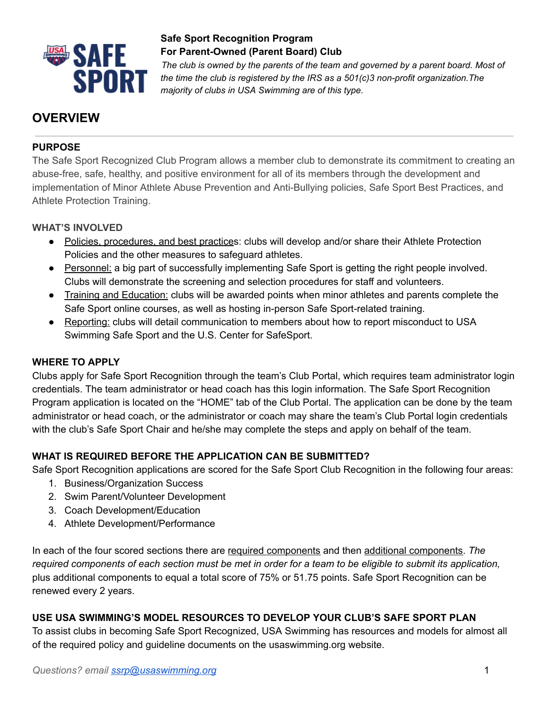

*The club is owned by the parents of the team and governed by a parent board. Most of the time the club is registered by the IRS as a 501(c)3 non-profit organization.The majority of clubs in USA Swimming are of this type.*

# **OVERVIEW**

### **PURPOSE**

The Safe Sport Recognized Club Program allows a member club to demonstrate its commitment to creating an abuse-free, safe, healthy, and positive environment for all of its members through the development and implementation of Minor Athlete Abuse Prevention and Anti-Bullying policies, Safe Sport Best Practices, and Athlete Protection Training.

#### **WHAT'S INVOLVED**

- Policies, procedures, and best practices: clubs will develop and/or share their Athlete Protection Policies and the other measures to safeguard athletes.
- Personnel: a big part of successfully implementing Safe Sport is getting the right people involved. Clubs will demonstrate the screening and selection procedures for staff and volunteers.
- Training and Education: clubs will be awarded points when minor athletes and parents complete the Safe Sport online courses, as well as hosting in-person Safe Sport-related training.
- Reporting: clubs will detail communication to members about how to report misconduct to USA Swimming Safe Sport and the U.S. Center for SafeSport.

### **WHERE TO APPLY**

Clubs apply for Safe Sport Recognition through the team's Club Portal, which requires team administrator login credentials. The team administrator or head coach has this login information. The Safe Sport Recognition Program application is located on the "HOME" tab of the Club Portal. The application can be done by the team administrator or head coach, or the administrator or coach may share the team's Club Portal login credentials with the club's Safe Sport Chair and he/she may complete the steps and apply on behalf of the team.

## **WHAT IS REQUIRED BEFORE THE APPLICATION CAN BE SUBMITTED?**

Safe Sport Recognition applications are scored for the Safe Sport Club Recognition in the following four areas:

- 1. Business/Organization Success
- 2. Swim Parent/Volunteer Development
- 3. Coach Development/Education
- 4. Athlete Development/Performance

In each of the four scored sections there are required components and then additional components. *The* required components of each section must be met in order for a team to be eligible to submit its application, plus additional components to equal a total score of 75% or 51.75 points. Safe Sport Recognition can be renewed every 2 years.

### **USE USA SWIMMING'S MODEL RESOURCES TO DEVELOP YOUR CLUB'S SAFE SPORT PLAN**

To assist clubs in becoming Safe Sport Recognized, USA Swimming has resources and models for almost all of the required policy and guideline documents on the usaswimming.org website.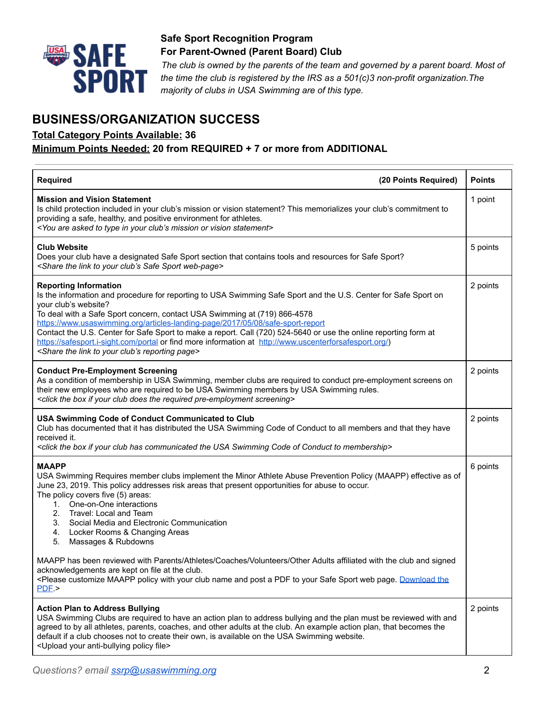

*The club is owned by the parents of the team and governed by a parent board. Most of the time the club is registered by the IRS as a 501(c)3 non-profit organization.The majority of clubs in USA Swimming are of this type.*

# **BUSINESS/ORGANIZATION SUCCESS**

**Total Category Points Available: 36**

#### **Minimum Points Needed: 20 from REQUIRED + 7 or more from ADDITIONAL**

| <b>Required</b><br>(20 Points Required)                                                                                                                                                                                                                                                                                                                                                                                                                                                                                                                                                                                                             | <b>Points</b> |
|-----------------------------------------------------------------------------------------------------------------------------------------------------------------------------------------------------------------------------------------------------------------------------------------------------------------------------------------------------------------------------------------------------------------------------------------------------------------------------------------------------------------------------------------------------------------------------------------------------------------------------------------------------|---------------|
| <b>Mission and Vision Statement</b><br>Is child protection included in your club's mission or vision statement? This memorializes your club's commitment to<br>providing a safe, healthy, and positive environment for athletes.<br><you are="" asked="" club's="" in="" mission="" or="" statement="" to="" type="" vision="" your=""></you>                                                                                                                                                                                                                                                                                                       | 1 point       |
| <b>Club Website</b><br>Does your club have a designated Safe Sport section that contains tools and resources for Safe Sport?<br><share club's="" link="" safe="" sport="" the="" to="" web-page="" your=""></share>                                                                                                                                                                                                                                                                                                                                                                                                                                 | 5 points      |
| <b>Reporting Information</b><br>Is the information and procedure for reporting to USA Swimming Safe Sport and the U.S. Center for Safe Sport on<br>your club's website?<br>To deal with a Safe Sport concern, contact USA Swimming at (719) 866-4578<br>https://www.usaswimming.org/articles-landing-page/2017/05/08/safe-sport-report<br>Contact the U.S. Center for Safe Sport to make a report. Call (720) 524-5640 or use the online reporting form at<br>https://safesport.i-sight.com/portal or find more information at http://www.uscenterforsafesport.org/)<br><share club's="" link="" page="" reporting="" the="" to="" your=""></share> | 2 points      |
| <b>Conduct Pre-Employment Screening</b><br>As a condition of membership in USA Swimming, member clubs are required to conduct pre-employment screens on<br>their new employees who are required to be USA Swimming members by USA Swimming rules.<br><click box="" club="" does="" if="" pre-employment="" required="" screening="" the="" your=""></click>                                                                                                                                                                                                                                                                                         | 2 points      |
| <b>USA Swimming Code of Conduct Communicated to Club</b><br>Club has documented that it has distributed the USA Swimming Code of Conduct to all members and that they have<br>received it.<br><click box="" club="" code="" communicated="" conduct="" has="" if="" membership="" of="" swimming="" the="" to="" usa="" your=""></click>                                                                                                                                                                                                                                                                                                            | 2 points      |
| <b>MAAPP</b><br>USA Swimming Requires member clubs implement the Minor Athlete Abuse Prevention Policy (MAAPP) effective as of<br>June 23, 2019. This policy addresses risk areas that present opportunities for abuse to occur.<br>The policy covers five (5) areas:<br>One-on-One interactions<br>1.<br>2. Travel: Local and Team<br>3. Social Media and Electronic Communication<br>4. Locker Rooms & Changing Areas<br>5.<br>Massages & Rubdowns                                                                                                                                                                                                | 6 points      |
| MAAPP has been reviewed with Parents/Athletes/Coaches/Volunteers/Other Adults affiliated with the club and signed<br>acknowledgements are kept on file at the club.<br><please a="" and="" club="" customize="" download="" maapp="" name="" page.="" pdf="" policy="" post="" safe="" sport="" the<br="" to="" web="" with="" your="">PDF.</please>                                                                                                                                                                                                                                                                                                |               |
| <b>Action Plan to Address Bullying</b><br>USA Swimming Clubs are required to have an action plan to address bullying and the plan must be reviewed with and<br>agreed to by all athletes, parents, coaches, and other adults at the club. An example action plan, that becomes the<br>default if a club chooses not to create their own, is available on the USA Swimming website.<br><upload anti-bullying="" file="" policy="" your=""></upload>                                                                                                                                                                                                  | 2 points      |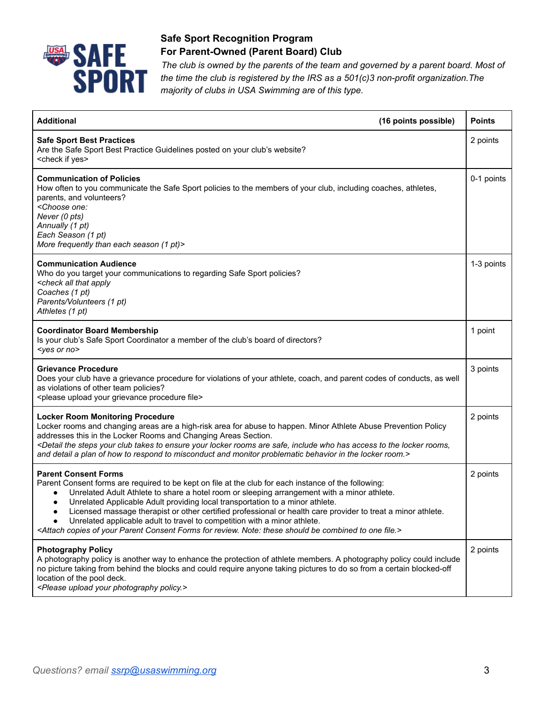

*The club is owned by the parents of the team and governed by a parent board. Most of the time the club is registered by the IRS as a 501(c)3 non-profit organization.The majority of clubs in USA Swimming are of this type.*

| <b>Additional</b><br>(16 points possible)                                                                                                                                                                                                                                                                                                                                                                                                                                                                                                                                                                                                                                         | <b>Points</b> |
|-----------------------------------------------------------------------------------------------------------------------------------------------------------------------------------------------------------------------------------------------------------------------------------------------------------------------------------------------------------------------------------------------------------------------------------------------------------------------------------------------------------------------------------------------------------------------------------------------------------------------------------------------------------------------------------|---------------|
| <b>Safe Sport Best Practices</b><br>Are the Safe Sport Best Practice Guidelines posted on your club's website?<br><check if="" yes=""></check>                                                                                                                                                                                                                                                                                                                                                                                                                                                                                                                                    | 2 points      |
| <b>Communication of Policies</b><br>How often to you communicate the Safe Sport policies to the members of your club, including coaches, athletes,<br>parents, and volunteers?<br><choose one:<br="">Never (0 pts)<br/>Annually (1 pt)<br/>Each Season (1 pt)<br/>More frequently than each season (1 pt)&gt;</choose>                                                                                                                                                                                                                                                                                                                                                            | 0-1 points    |
| <b>Communication Audience</b><br>Who do you target your communications to regarding Safe Sport policies?<br><check all="" apply<br="" that="">Coaches (1 pt)<br/>Parents/Volunteers (1 pt)<br/>Athletes (1 pt)</check>                                                                                                                                                                                                                                                                                                                                                                                                                                                            | 1-3 points    |
| <b>Coordinator Board Membership</b><br>Is your club's Safe Sport Coordinator a member of the club's board of directors?<br>$<$ yes or no $>$                                                                                                                                                                                                                                                                                                                                                                                                                                                                                                                                      | 1 point       |
| <b>Grievance Procedure</b><br>Does your club have a grievance procedure for violations of your athlete, coach, and parent codes of conducts, as well<br>as violations of other team policies?<br><please file="" grievance="" procedure="" upload="" your=""></please>                                                                                                                                                                                                                                                                                                                                                                                                            | 3 points      |
| <b>Locker Room Monitoring Procedure</b><br>Locker rooms and changing areas are a high-risk area for abuse to happen. Minor Athlete Abuse Prevention Policy<br>addresses this in the Locker Rooms and Changing Areas Section.<br><detail access="" are="" club="" ensure="" has="" include="" locker="" rooms="" rooms,<br="" safe,="" steps="" takes="" the="" to="" who="" your="">and detail a plan of how to respond to misconduct and monitor problematic behavior in the locker room.&gt;</detail>                                                                                                                                                                           | 2 points      |
| <b>Parent Consent Forms</b><br>Parent Consent forms are required to be kept on file at the club for each instance of the following:<br>Unrelated Adult Athlete to share a hotel room or sleeping arrangement with a minor athlete.<br>Unrelated Applicable Adult providing local transportation to a minor athlete.<br>Licensed massage therapist or other certified professional or health care provider to treat a minor athlete.<br>Unrelated applicable adult to travel to competition with a minor athlete.<br><attach be="" combined="" consent="" copies="" file.="" for="" forms="" note:="" of="" one="" parent="" review.="" should="" these="" to="" your=""></attach> | 2 points      |
| <b>Photography Policy</b><br>A photography policy is another way to enhance the protection of athlete members. A photography policy could include<br>no picture taking from behind the blocks and could require anyone taking pictures to do so from a certain blocked-off<br>location of the pool deck.<br><please photography="" policy.="" upload="" your=""></please>                                                                                                                                                                                                                                                                                                         | 2 points      |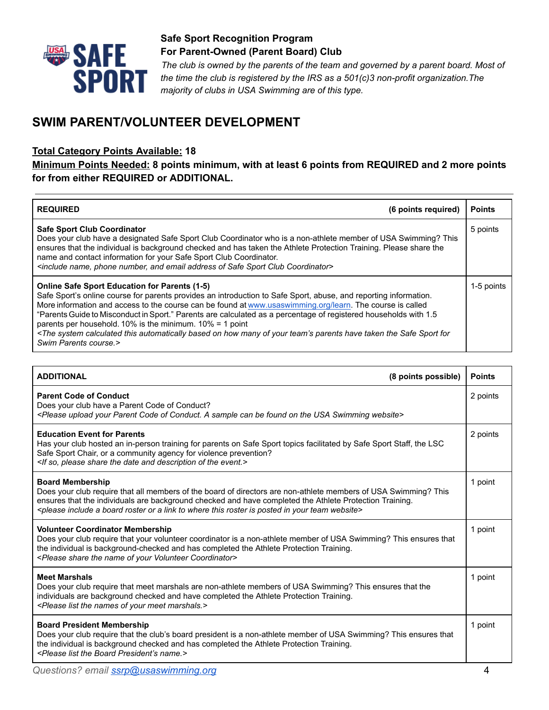

*The club is owned by the parents of the team and governed by a parent board. Most of the time the club is registered by the IRS as a 501(c)3 non-profit organization.The majority of clubs in USA Swimming are of this type.* 

# **SWIM PARENT/VOLUNTEER DEVELOPMENT**

#### **Total Category Points Available: 18**

#### **Minimum Points Needed: 8 points minimum, with at least 6 points from REQUIRED and 2 more points for from either REQUIRED or ADDITIONAL.**

| <b>REQUIRED</b><br>(6 points required)                                                                                                                                                                                                                                                                                                                                                                                                                                                                                                                                                                                                                                               | <b>Points</b> |
|--------------------------------------------------------------------------------------------------------------------------------------------------------------------------------------------------------------------------------------------------------------------------------------------------------------------------------------------------------------------------------------------------------------------------------------------------------------------------------------------------------------------------------------------------------------------------------------------------------------------------------------------------------------------------------------|---------------|
| <b>Safe Sport Club Coordinator</b><br>Does your club have a designated Safe Sport Club Coordinator who is a non-athlete member of USA Swimming? This<br>ensures that the individual is background checked and has taken the Athlete Protection Training. Please share the<br>name and contact information for your Safe Sport Club Coordinator.<br><include address="" and="" club="" coordinator="" email="" name,="" number,="" of="" phone="" safe="" sport=""></include>                                                                                                                                                                                                         | 5 points      |
| <b>Online Safe Sport Education for Parents (1-5)</b><br>Safe Sport's online course for parents provides an introduction to Safe Sport, abuse, and reporting information.<br>More information and access to the course can be found at www.usaswimming.org/learn. The course is called<br>"Parents Guide to Misconduct in Sport." Parents are calculated as a percentage of registered households with 1.5<br>parents per household. 10% is the minimum. $10\% = 1$ point<br><the automatically="" based="" calculated="" for<br="" have="" how="" many="" of="" on="" parents="" safe="" sport="" system="" taken="" team's="" the="" this="" your="">Swim Parents course.&gt;</the> | 1-5 points    |

| <b>ADDITIONAL</b>                                                                                                                                                                                                                                                                                                                                                                                   | (8 points possible) | <b>Points</b> |
|-----------------------------------------------------------------------------------------------------------------------------------------------------------------------------------------------------------------------------------------------------------------------------------------------------------------------------------------------------------------------------------------------------|---------------------|---------------|
| <b>Parent Code of Conduct</b><br>Does your club have a Parent Code of Conduct?<br><please a="" be="" can="" code="" conduct.="" found="" of="" on="" parent="" sample="" swimming="" the="" upload="" usa="" website="" your=""></please>                                                                                                                                                           |                     | 2 points      |
| <b>Education Event for Parents</b><br>Has your club hosted an in-person training for parents on Safe Sport topics facilitated by Safe Sport Staff, the LSC<br>Safe Sport Chair, or a community agency for violence prevention?<br><if and="" date="" description="" event.="" of="" please="" share="" so,="" the=""></if>                                                                          |                     | 2 points      |
| <b>Board Membership</b><br>Does your club require that all members of the board of directors are non-athlete members of USA Swimming? This<br>ensures that the individuals are background checked and have completed the Athlete Protection Training.<br><please a="" board="" in="" include="" is="" link="" or="" posted="" roster="" team="" this="" to="" website="" where="" your=""></please> |                     | 1 point       |
| <b>Volunteer Coordinator Membership</b><br>Does your club require that your volunteer coordinator is a non-athlete member of USA Swimming? This ensures that<br>the individual is background-checked and has completed the Athlete Protection Training.<br><please coordinator="" name="" of="" share="" the="" volunteer="" your=""></please>                                                      |                     | 1 point       |
| <b>Meet Marshals</b><br>Does your club require that meet marshals are non-athlete members of USA Swimming? This ensures that the<br>individuals are background checked and have completed the Athlete Protection Training.<br><please list="" marshals.="" meet="" names="" of="" the="" your=""></please>                                                                                          |                     | 1 point       |
| <b>Board President Membership</b><br>Does your club require that the club's board president is a non-athlete member of USA Swimming? This ensures that<br>the individual is background checked and has completed the Athlete Protection Training.<br><please board="" list="" name.="" president's="" the=""></please>                                                                              |                     | 1 point       |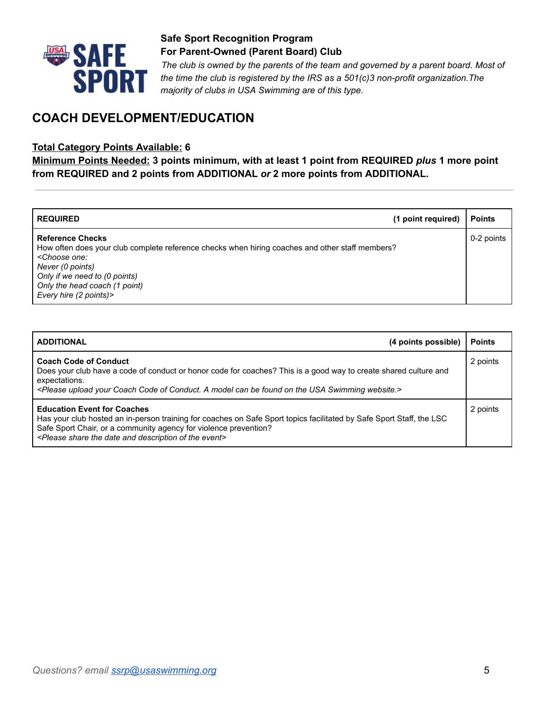

*The club is owned by the parents of the team and governed by a parent board. Most of the time the club is registered by the IRS as a 501(c)3 non-profit organization.The majority of clubs in USA Swimming are of this type.*

# **COACH DEVELOPMENT/EDUCATION**

#### **Total Category Points Available: 6**

**Minimum Points Needed: 3 points minimum, with at least 1 point from REQUIRED** *plus* **1 more point from REQUIRED and 2 points from ADDITIONAL** *or* **2 more points from ADDITIONAL.**

| <b>REQUIRED</b>                                                                                                                                                                                                                                                              | (1 point required) | <b>Points</b> |
|------------------------------------------------------------------------------------------------------------------------------------------------------------------------------------------------------------------------------------------------------------------------------|--------------------|---------------|
| <b>Reference Checks</b><br>How often does your club complete reference checks when hiring coaches and other staff members?<br><choose one:<br="">Never (0 points)<br/>Only if we need to (0 points)<br/>Only the head coach (1 point)<br/>Every hire (2 points)&gt;</choose> |                    | 0-2 points    |

| <b>ADDITIONAL</b><br>(4 points possible)                                                                                                                                                                                                                                                                                    | <b>Points</b> |
|-----------------------------------------------------------------------------------------------------------------------------------------------------------------------------------------------------------------------------------------------------------------------------------------------------------------------------|---------------|
| <b>Coach Code of Conduct</b><br>Does your club have a code of conduct or honor code for coaches? This is a good way to create shared culture and<br>expectations.<br><please a="" be="" can="" coach="" code="" conduct.="" found="" model="" of="" on="" swimming="" the="" upload="" usa="" website.="" your=""></please> | 2 points      |
| <b>Education Event for Coaches</b><br>Has your club hosted an in-person training for coaches on Safe Sport topics facilitated by Safe Sport Staff, the LSC<br>Safe Sport Chair, or a community agency for violence prevention?<br><please and="" date="" description="" event="" of="" share="" the=""></please>            | 2 points      |